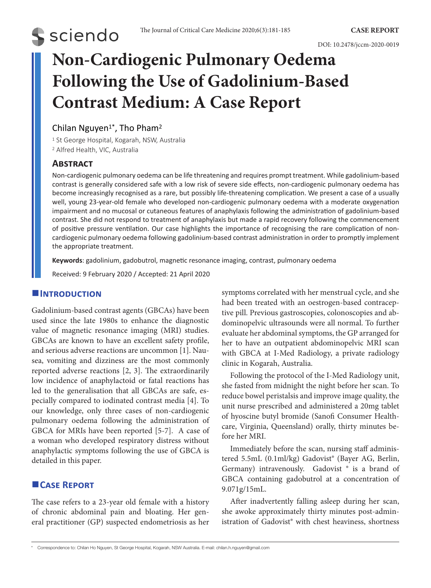# **S** sciendo

DOI: 10.2478/jccm-2020-0019

# **Non-Cardiogenic Pulmonary Oedema Following the Use of Gadolinium-Based Contrast Medium: A Case Report**

# Chilan Nguyen<sup>1</sup><sup>\*</sup>, Tho Pham<sup>2</sup>

<sup>1</sup> St George Hospital, Kogarah, NSW, Australia 2 Alfred Health, VIC, Australia

### **Abstract**

Non-cardiogenic pulmonary oedema can be life threatening and requires prompt treatment. While gadolinium-based contrast is generally considered safe with a low risk of severe side effects, non-cardiogenic pulmonary oedema has become increasingly recognised as a rare, but possibly life-threatening complication. We present a case of a usually well, young 23-year-old female who developed non-cardiogenic pulmonary oedema with a moderate oxygenation impairment and no mucosal or cutaneous features of anaphylaxis following the administration of gadolinium-based contrast. She did not respond to treatment of anaphylaxis but made a rapid recovery following the commencement of positive pressure ventilation. Our case highlights the importance of recognising the rare complication of noncardiogenic pulmonary oedema following gadolinium-based contrast administration in order to promptly implement the appropriate treatment.

**Keywords**: gadolinium, gadobutrol, magnetic resonance imaging, contrast, pulmonary oedema

Received: 9 February 2020 / Accepted: 21 April 2020

## **Introduction**

Gadolinium-based contrast agents (GBCAs) have been used since the late 1980s to enhance the diagnostic value of magnetic resonance imaging (MRI) studies. GBCAs are known to have an excellent safety profile, and serious adverse reactions are uncommon [1]. Nausea, vomiting and dizziness are the most commonly reported adverse reactions [2, 3]. The extraordinarily low incidence of anaphylactoid or fatal reactions has led to the generalisation that all GBCAs are safe, especially compared to iodinated contrast media [4]. To our knowledge, only three cases of non-cardiogenic pulmonary oedema following the administration of GBCA for MRIs have been reported [5-7]. A case of a woman who developed respiratory distress without anaphylactic symptoms following the use of GBCA is detailed in this paper.

# **Case Report**

The case refers to a 23-year old female with a history of chronic abdominal pain and bloating. Her general practitioner (GP) suspected endometriosis as her symptoms correlated with her menstrual cycle, and she had been treated with an oestrogen-based contraceptive pill. Previous gastroscopies, colonoscopies and abdominopelvic ultrasounds were all normal. To further evaluate her abdominal symptoms, the GP arranged for her to have an outpatient abdominopelvic MRI scan with GBCA at I-Med Radiology, a private radiology clinic in Kogarah, Australia.

Following the protocol of the I-Med Radiology unit, she fasted from midnight the night before her scan. To reduce bowel peristalsis and improve image quality, the unit nurse prescribed and administered a 20mg tablet of hyoscine butyl bromide (Sanofi Consumer Healthcare, Virginia, Queensland) orally, thirty minutes before her MRI.

Immediately before the scan, nursing staff administered 5.5mL (0.1ml/kg) Gadovist® (Bayer AG, Berlin, Germany) intravenously. Gadovist ® is a brand of GBCA containing gadobutrol at a concentration of 9.071g/15mL.

After inadvertently falling asleep during her scan, she awoke approximately thirty minutes post-administration of Gadovist® with chest heaviness, shortness

<sup>\*</sup> Correspondence to: Chilan Ho Nguyen, St George Hospital, Kogarah, NSW Australia. E-mail: chilan.h.nguyen@gmail.com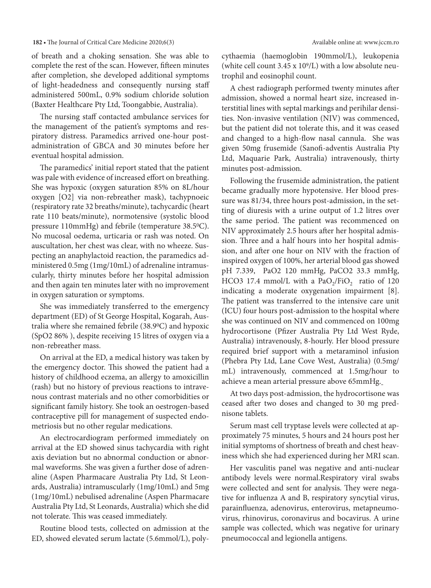#### **182 •** The Journal of Critical Care Medicine 2020;6(3) Available online at: www.jccm.ro

of breath and a choking sensation. She was able to complete the rest of the scan. However, fifteen minutes after completion, she developed additional symptoms of light-headedness and consequently nursing staff administered 500mL, 0.9% sodium chloride solution (Baxter Healthcare Pty Ltd, Toongabbie, Australia).

The nursing staff contacted ambulance services for the management of the patient's symptoms and respiratory distress. Paramedics arrived one-hour postadministration of GBCA and 30 minutes before her eventual hospital admission.

The paramedics' initial report stated that the patient was pale with evidence of increased effort on breathing. She was hypoxic (oxygen saturation 85% on 8L/hour oxygen [O2] via non-rebreather mask), tachypnoeic (respiratory rate 32 breaths/minute), tachycardic (heart rate 110 beats/minute), normotensive (systolic blood pressure 110mmHg) and febrile (temperature 38.50C). No mucosal oedema, urticaria or rash was noted. On auscultation, her chest was clear, with no wheeze. Suspecting an anaphylactoid reaction, the paramedics administered 0.5mg (1mg/10mL) of adrenaline intramuscularly, thirty minutes before her hospital admission and then again ten minutes later with no improvement in oxygen saturation or symptoms.

She was immediately transferred to the emergency department (ED) of St George Hospital, Kogarah, Australia where she remained febrile (38.90C) and hypoxic (SpO2 86% ), despite receiving 15 litres of oxygen via a non-rebreather mass.

On arrival at the ED, a medical history was taken by the emergency doctor. This showed the patient had a history of childhood eczema, an allergy to amoxicillin (rash) but no history of previous reactions to intravenous contrast materials and no other comorbidities or significant family history. She took an oestrogen-based contraceptive pill for management of suspected endometriosis but no other regular medications.

An electrocardiogram performed immediately on arrival at the ED showed sinus tachycardia with right axis deviation but no abnormal conduction or abnormal waveforms. She was given a further dose of adrenaline (Aspen Pharmacare Australia Pty Ltd, St Leonards, Australia) intramuscularly (1mg/10mL) and 5mg (1mg/10mL) nebulised adrenaline (Aspen Pharmacare Australia Pty Ltd, St Leonards, Australia) which she did not tolerate. This was ceased immediately.

Routine blood tests, collected on admission at the ED, showed elevated serum lactate (5.6mmol/L), polycythaemia (haemoglobin 190mmol/L), leukopenia (white cell count 3.45 x 109/L) with a low absolute neutrophil and eosinophil count.

A chest radiograph performed twenty minutes after admission, showed a normal heart size, increased interstitial lines with septal markings and perihilar densities. Non-invasive ventilation (NIV) was commenced, but the patient did not tolerate this, and it was ceased and changed to a high-flow nasal cannula. She was given 50mg frusemide (Sanofi-adventis Australia Pty Ltd, Maquarie Park, Australia) intravenously, thirty minutes post-admission.

Following the frusemide administration, the patient became gradually more hypotensive. Her blood pressure was 81/34, three hours post-admission, in the setting of diuresis with a urine output of 1.2 litres over the same period. The patient was recommenced on NIV approximately 2.5 hours after her hospital admission. Three and a half hours into her hospital admission, and after one hour on NIV with the fraction of inspired oxygen of 100%, her arterial blood gas showed pH 7.339, PaO2 120 mmHg, PaCO2 33.3 mmHg, HCO3 17.4 mmol/L with a PaO<sub>2</sub>/FiO<sub>2</sub> ratio of 120 indicating a moderate oxygenation impairment [8]. The patient was transferred to the intensive care unit (ICU) four hours post-admission to the hospital where she was continued on NIV and commenced on 100mg hydrocortisone (Pfizer Australia Pty Ltd West Ryde, Australia) intravenously, 8-hourly. Her blood pressure required brief support with a metaraminol infusion (Phebra Pty Ltd, Lane Cove West, Australia) (0.5mg/ mL) intravenously, commenced at 1.5mg/hour to achieve a mean arterial pressure above 65mmHg.

At two days post-admission, the hydrocortisone was ceased after two doses and changed to 30 mg prednisone tablets.

Serum mast cell tryptase levels were collected at approximately 75 minutes, 5 hours and 24 hours post her initial symptoms of shortness of breath and chest heaviness which she had experienced during her MRI scan.

Her vasculitis panel was negative and anti-nuclear antibody levels were normal.Respiratory viral swabs were collected and sent for analysis. They were negative for influenza A and B, respiratory syncytial virus, parainfluenza, adenovirus, enterovirus, metapneumovirus, rhinovirus, coronavirus and bocavirus. A urine sample was collected, which was negative for urinary pneumococcal and legionella antigens.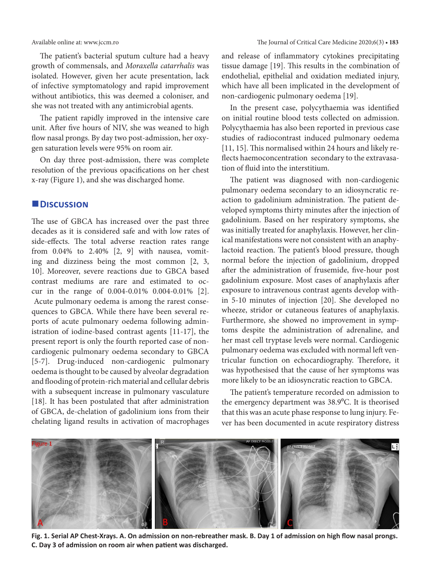The patient's bacterial sputum culture had a heavy growth of commensals, and *Moraxella catarrhalis* was isolated. However, given her acute presentation, lack of infective symptomatology and rapid improvement without antibiotics, this was deemed a coloniser, and she was not treated with any antimicrobial agents.

The patient rapidly improved in the intensive care unit. After five hours of NIV, she was weaned to high flow nasal prongs. By day two post-admission, her oxygen saturation levels were 95% on room air.

On day three post-admission, there was complete resolution of the previous opacifications on her chest x-ray (Figure 1), and she was discharged home.

#### **Discussion**

The use of GBCA has increased over the past three decades as it is considered safe and with low rates of side-effects. The total adverse reaction rates range from 0.04% to 2.40% [2, 9] with nausea, vomiting and dizziness being the most common [2, 3, 10]. Moreover, severe reactions due to GBCA based contrast mediums are rare and estimated to occur in the range of 0.004-0.01% 0.004-0.01% [2]. Acute pulmonary oedema is among the rarest consequences to GBCA. While there have been several reports of acute pulmonary oedema following administration of iodine-based contrast agents [11-17], the present report is only the fourth reported case of noncardiogenic pulmonary oedema secondary to GBCA [5-7]. Drug-induced non-cardiogenic pulmonary oedema is thought to be caused by alveolar degradation and flooding of protein-rich material and cellular debris with a subsequent increase in pulmonary vasculature [18]. It has been postulated that after administration of GBCA, de-chelation of gadolinium ions from their chelating ligand results in activation of macrophages and release of inflammatory cytokines precipitating tissue damage [19]. This results in the combination of endothelial, epithelial and oxidation mediated injury, which have all been implicated in the development of non-cardiogenic pulmonary oedema [19].

In the present case, polycythaemia was identified on initial routine blood tests collected on admission. Polycythaemia has also been reported in previous case studies of radiocontrast induced pulmonary oedema [11, 15]. This normalised within 24 hours and likely reflects haemoconcentration secondary to the extravasation of fluid into the interstitium.

The patient was diagnosed with non-cardiogenic pulmonary oedema secondary to an idiosyncratic reaction to gadolinium administration. The patient developed symptoms thirty minutes after the injection of gadolinium. Based on her respiratory symptoms, she was initially treated for anaphylaxis. However, her clinical manifestations were not consistent with an anaphylactoid reaction. The patient's blood pressure, though normal before the injection of gadolinium, dropped after the administration of frusemide, five-hour post gadolinium exposure. Most cases of anaphylaxis after exposure to intravenous contrast agents develop within 5-10 minutes of injection [20]. She developed no wheeze, stridor or cutaneous features of anaphylaxis. Furthermore, she showed no improvement in symptoms despite the administration of adrenaline, and her mast cell tryptase levels were normal. Cardiogenic pulmonary oedema was excluded with normal left ventricular function on echocardiography. Therefore, it was hypothesised that the cause of her symptoms was more likely to be an idiosyncratic reaction to GBCA.

The patient's temperature recorded on admission to the emergency department was 38.9°C. It is theorised that this was an acute phase response to lung injury. Fever has been documented in acute respiratory distress



**Fig. 1. Serial AP Chest-Xrays. A. On admission on non-rebreather mask. B. Day 1 of admission on high flow nasal prongs. C. Day 3 of admission on room air when patient was discharged.**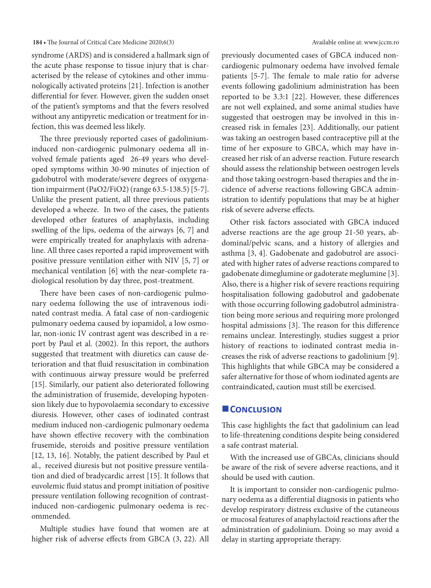#### **184 •** The Journal of Critical Care Medicine 2020;6(3) Available online at: www.jccm.ro

syndrome (ARDS) and is considered a hallmark sign of the acute phase response to tissue injury that is characterised by the release of cytokines and other immunologically activated proteins [21]. Infection is another differential for fever. However, given the sudden onset of the patient's symptoms and that the fevers resolved without any antipyretic medication or treatment for infection, this was deemed less likely.

The three previously reported cases of gadoliniuminduced non-cardiogenic pulmonary oedema all involved female patients aged 26-49 years who developed symptoms within 30-90 minutes of injection of gadobutrol with moderate/severe degrees of oxygenation impairment (PaO2/FiO2) (range 63.5-138.5) [5-7]. Unlike the present patient, all three previous patients developed a wheeze. In two of the cases, the patients developed other features of anaphylaxis, including swelling of the lips, oedema of the airways [6, 7] and were empirically treated for anaphylaxis with adrenaline. All three cases reported a rapid improvement with positive pressure ventilation either with NIV [5, 7] or mechanical ventilation [6] with the near-complete radiological resolution by day three, post-treatment.

There have been cases of non-cardiogenic pulmonary oedema following the use of intravenous iodinated contrast media. A fatal case of non-cardiogenic pulmonary oedema caused by iopamidol, a low osmolar, non-ionic IV contrast agent was described in a report by Paul et al. (2002). In this report, the authors suggested that treatment with diuretics can cause deterioration and that fluid resuscitation in combination with continuous airway pressure would be preferred [15]. Similarly, our patient also deteriorated following the administration of frusemide, developing hypotension likely due to hypovolaemia secondary to excessive diuresis. However, other cases of iodinated contrast medium induced non-cardiogenic pulmonary oedema have shown effective recovery with the combination frusemide, steroids and positive pressure ventilation [12, 13, 16]. Notably, the patient described by Paul et al., received diuresis but not positive pressure ventilation and died of bradycardic arrest [15]. It follows that euvolemic fluid status and prompt initiation of positive pressure ventilation following recognition of contrastinduced non-cardiogenic pulmonary oedema is recommended.

Multiple studies have found that women are at higher risk of adverse effects from GBCA (3, 22). All previously documented cases of GBCA induced noncardiogenic pulmonary oedema have involved female patients [5-7]. The female to male ratio for adverse events following gadolinium administration has been reported to be 3.3:1 [22]. However, these differences are not well explained, and some animal studies have suggested that oestrogen may be involved in this increased risk in females [23]. Additionally, our patient was taking an oestrogen based contraceptive pill at the time of her exposure to GBCA, which may have increased her risk of an adverse reaction. Future research should assess the relationship between oestrogen levels and those taking oestrogen-based therapies and the incidence of adverse reactions following GBCA administration to identify populations that may be at higher risk of severe adverse effects.

Other risk factors associated with GBCA induced adverse reactions are the age group 21-50 years, abdominal/pelvic scans, and a history of allergies and asthma [3, 4]. Gadobenate and gadobutrol are associated with higher rates of adverse reactions compared to gadobenate dimeglumine or gadoterate meglumine [3]. Also, there is a higher risk of severe reactions requiring hospitalisation following gadobutrol and gadobenate with those occurring following gadobutrol administration being more serious and requiring more prolonged hospital admissions [3]. The reason for this difference remains unclear. Interestingly, studies suggest a prior history of reactions to iodinated contrast media increases the risk of adverse reactions to gadolinium [9]. This highlights that while GBCA may be considered a safer alternative for those of whom iodinated agents are contraindicated, caution must still be exercised.

#### **Conclusion**

This case highlights the fact that gadolinium can lead to life-threatening conditions despite being considered a safe contrast material.

With the increased use of GBCAs, clinicians should be aware of the risk of severe adverse reactions, and it should be used with caution.

It is important to consider non-cardiogenic pulmonary oedema as a differential diagnosis in patients who develop respiratory distress exclusive of the cutaneous or mucosal features of anaphylactoid reactions after the administration of gadolinium. Doing so may avoid a delay in starting appropriate therapy.